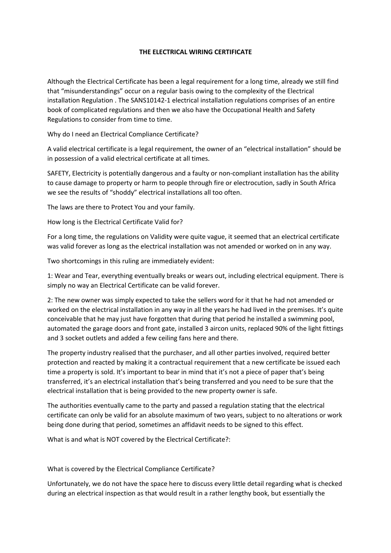## **THE ELECTRICAL WIRING CERTIFICATE**

Although the Electrical Certificate has been a legal requirement for a long time, already we still find that "misunderstandings" occur on a regular basis owing to the complexity of the Electrical installation Regulation . The SANS10142-1 electrical installation regulations comprises of an entire book of complicated regulations and then we also have the Occupational Health and Safety Regulations to consider from time to time.

Why do I need an Electrical Compliance Certificate?

A valid electrical certificate is a legal requirement, the owner of an "electrical installation" should be in possession of a valid electrical certificate at all times.

SAFETY, Electricity is potentially dangerous and a faulty or non-compliant installation has the ability to cause damage to property or harm to people through fire or electrocution, sadly in South Africa we see the results of "shoddy" electrical installations all too often.

The laws are there to Protect You and your family.

How long is the Electrical Certificate Valid for?

For a long time, the regulations on Validity were quite vague, it seemed that an electrical certificate was valid forever as long as the electrical installation was not amended or worked on in any way.

Two shortcomings in this ruling are immediately evident:

1: Wear and Tear, everything eventually breaks or wears out, including electrical equipment. There is simply no way an Electrical Certificate can be valid forever.

2: The new owner was simply expected to take the sellers word for it that he had not amended or worked on the electrical installation in any way in all the years he had lived in the premises. It's quite conceivable that he may just have forgotten that during that period he installed a swimming pool, automated the garage doors and front gate, installed 3 aircon units, replaced 90% of the light fittings and 3 socket outlets and added a few ceiling fans here and there.

The property industry realised that the purchaser, and all other parties involved, required better protection and reacted by making it a contractual requirement that a new certificate be issued each time a property is sold. It's important to bear in mind that it's not a piece of paper that's being transferred, it's an electrical installation that's being transferred and you need to be sure that the electrical installation that is being provided to the new property owner is safe.

The authorities eventually came to the party and passed a regulation stating that the electrical certificate can only be valid for an absolute maximum of two years, subject to no alterations or work being done during that period, sometimes an affidavit needs to be signed to this effect.

What is and what is NOT covered by the Electrical Certificate?:

What is covered by the Electrical Compliance Certificate?

Unfortunately, we do not have the space here to discuss every little detail regarding what is checked during an electrical inspection as that would result in a rather lengthy book, but essentially the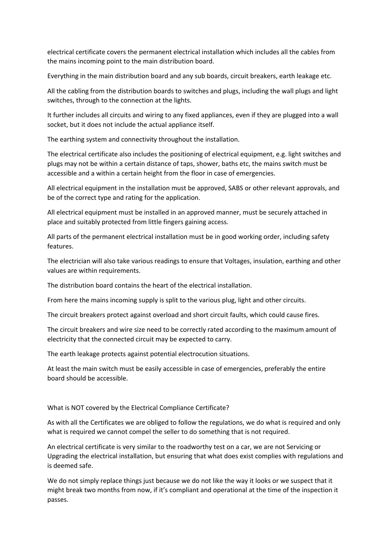electrical certificate covers the permanent electrical installation which includes all the cables from the mains incoming point to the main distribution board.

Everything in the main distribution board and any sub boards, circuit breakers, earth leakage etc.

All the cabling from the distribution boards to switches and plugs, including the wall plugs and light switches, through to the connection at the lights.

It further includes all circuits and wiring to any fixed appliances, even if they are plugged into a wall socket, but it does not include the actual appliance itself.

The earthing system and connectivity throughout the installation.

The electrical certificate also includes the positioning of electrical equipment, e.g. light switches and plugs may not be within a certain distance of taps, shower, baths etc, the mains switch must be accessible and a within a certain height from the floor in case of emergencies.

All electrical equipment in the installation must be approved, SABS or other relevant approvals, and be of the correct type and rating for the application.

All electrical equipment must be installed in an approved manner, must be securely attached in place and suitably protected from little fingers gaining access.

All parts of the permanent electrical installation must be in good working order, including safety features.

The electrician will also take various readings to ensure that Voltages, insulation, earthing and other values are within requirements.

The distribution board contains the heart of the electrical installation.

From here the mains incoming supply is split to the various plug, light and other circuits.

The circuit breakers protect against overload and short circuit faults, which could cause fires.

The circuit breakers and wire size need to be correctly rated according to the maximum amount of electricity that the connected circuit may be expected to carry.

The earth leakage protects against potential electrocution situations.

At least the main switch must be easily accessible in case of emergencies, preferably the entire board should be accessible.

What is NOT covered by the Electrical Compliance Certificate?

As with all the Certificates we are obliged to follow the regulations, we do what is required and only what is required we cannot compel the seller to do something that is not required.

An electrical certificate is very similar to the roadworthy test on a car, we are not Servicing or Upgrading the electrical installation, but ensuring that what does exist complies with regulations and is deemed safe.

We do not simply replace things just because we do not like the way it looks or we suspect that it might break two months from now, if it's compliant and operational at the time of the inspection it passes.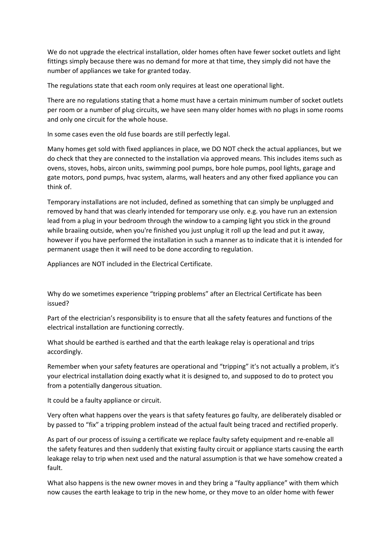We do not upgrade the electrical installation, older homes often have fewer socket outlets and light fittings simply because there was no demand for more at that time, they simply did not have the number of appliances we take for granted today.

The regulations state that each room only requires at least one operational light.

There are no regulations stating that a home must have a certain minimum number of socket outlets per room or a number of plug circuits, we have seen many older homes with no plugs in some rooms and only one circuit for the whole house.

In some cases even the old fuse boards are still perfectly legal.

Many homes get sold with fixed appliances in place, we DO NOT check the actual appliances, but we do check that they are connected to the installation via approved means. This includes items such as ovens, stoves, hobs, aircon units, swimming pool pumps, bore hole pumps, pool lights, garage and gate motors, pond pumps, hvac system, alarms, wall heaters and any other fixed appliance you can think of.

Temporary installations are not included, defined as something that can simply be unplugged and removed by hand that was clearly intended for temporary use only. e.g. you have run an extension lead from a plug in your bedroom through the window to a camping light you stick in the ground while braaiing outside, when you're finished you just unplug it roll up the lead and put it away, however if you have performed the installation in such a manner as to indicate that it is intended for permanent usage then it will need to be done according to regulation.

Appliances are NOT included in the Electrical Certificate.

Why do we sometimes experience "tripping problems" after an Electrical Certificate has been issued?

Part of the electrician's responsibility is to ensure that all the safety features and functions of the electrical installation are functioning correctly.

What should be earthed is earthed and that the earth leakage relay is operational and trips accordingly.

Remember when your safety features are operational and "tripping" it's not actually a problem, it's your electrical installation doing exactly what it is designed to, and supposed to do to protect you from a potentially dangerous situation.

It could be a faulty appliance or circuit.

Very often what happens over the years is that safety features go faulty, are deliberately disabled or by passed to "fix" a tripping problem instead of the actual fault being traced and rectified properly.

As part of our process of issuing a certificate we replace faulty safety equipment and re-enable all the safety features and then suddenly that existing faulty circuit or appliance starts causing the earth leakage relay to trip when next used and the natural assumption is that we have somehow created a fault.

What also happens is the new owner moves in and they bring a "faulty appliance" with them which now causes the earth leakage to trip in the new home, or they move to an older home with fewer